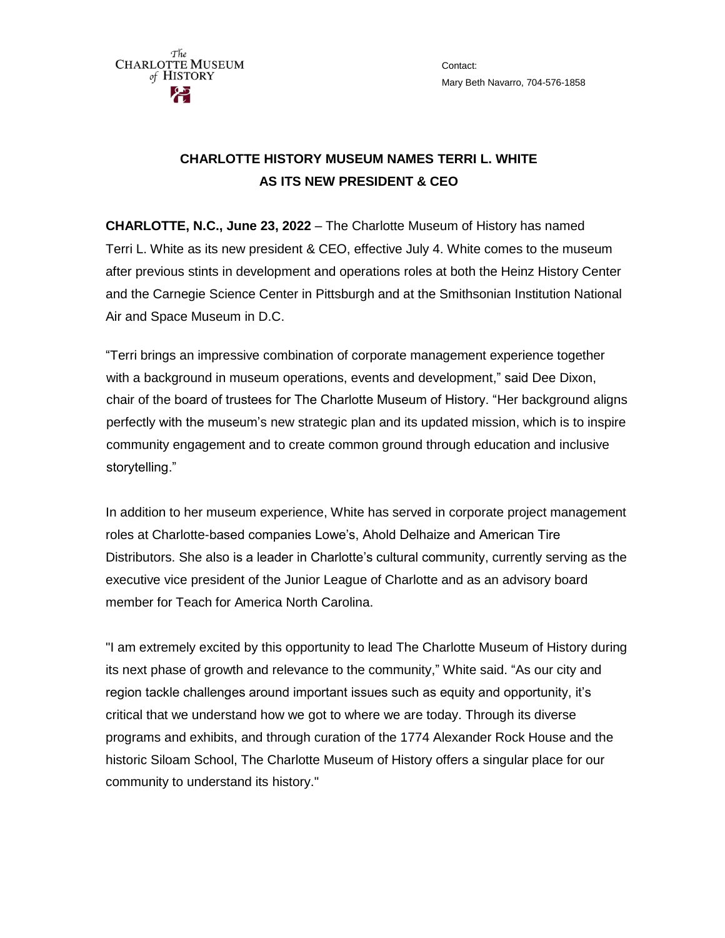The **CHARLOTTE MUSEUM** of HISTORY

Contact: Mary Beth Navarro, 704-576-1858

## **CHARLOTTE HISTORY MUSEUM NAMES TERRI L. WHITE AS ITS NEW PRESIDENT & CEO**

**CHARLOTTE, N.C., June 23, 2022** – The Charlotte Museum of History has named Terri L. White as its new president & CEO, effective July 4. White comes to the museum after previous stints in development and operations roles at both the Heinz History Center and the Carnegie Science Center in Pittsburgh and at the Smithsonian Institution National Air and Space Museum in D.C.

"Terri brings an impressive combination of corporate management experience together with a background in museum operations, events and development," said Dee Dixon, chair of the board of trustees for The Charlotte Museum of History. "Her background aligns perfectly with the museum's new strategic plan and its updated mission, which is to inspire community engagement and to create common ground through education and inclusive storytelling."

In addition to her museum experience, White has served in corporate project management roles at Charlotte-based companies Lowe's, Ahold Delhaize and American Tire Distributors. She also is a leader in Charlotte's cultural community, currently serving as the executive vice president of the Junior League of Charlotte and as an advisory board member for Teach for America North Carolina.

"I am extremely excited by this opportunity to lead The Charlotte Museum of History during its next phase of growth and relevance to the community," White said. "As our city and region tackle challenges around important issues such as equity and opportunity, it's critical that we understand how we got to where we are today. Through its diverse programs and exhibits, and through curation of the 1774 Alexander Rock House and the historic Siloam School, The Charlotte Museum of History offers a singular place for our community to understand its history."